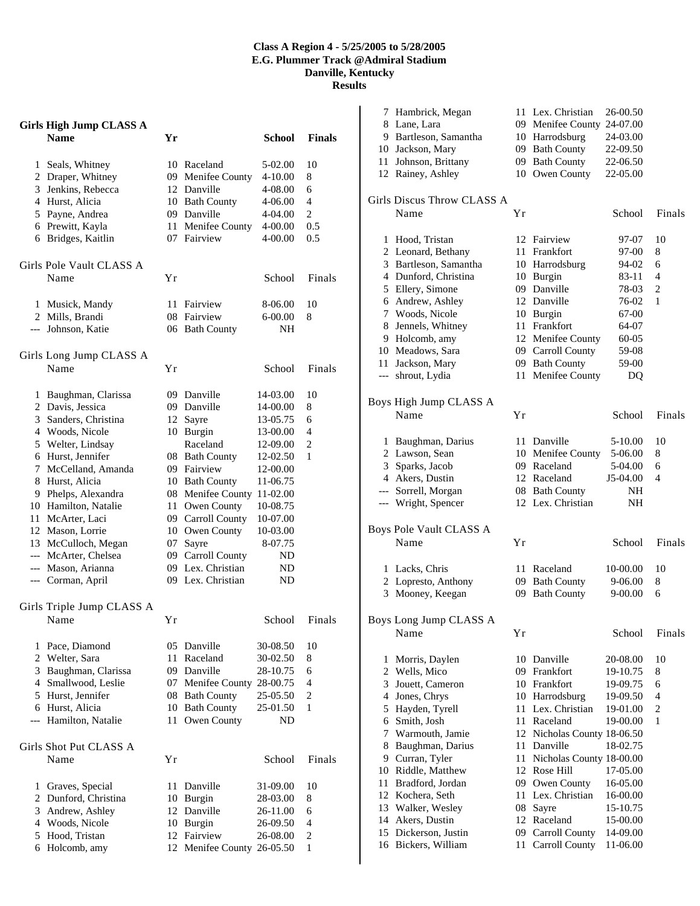## **Class A Region 4 - 5/25/2005 to 5/28/2005 E.G. Plummer Track @Admiral Stadium Danville, Kentucky**

**Results**

|   | <b>Girls High Jump CLASS A</b> |    |                         |               |                |
|---|--------------------------------|----|-------------------------|---------------|----------------|
|   | <b>Name</b>                    | Yr |                         | <b>School</b> | <b>Finals</b>  |
|   | 1 Seals, Whitney               |    | 10 Raceland             | 5-02.00       | 10             |
|   | 2 Draper, Whitney              |    | 09 Menifee County       | 4-10.00       | 8              |
|   | 3 Jenkins, Rebecca             |    | 12 Danville             | 4-08.00       | 6              |
|   | 4 Hurst, Alicia                |    | 10 Bath County          | 4-06.00       | $\overline{4}$ |
|   | 5 Payne, Andrea                |    | 09 Danville             | 4-04.00       | $\mathbf{2}$   |
|   | 6 Prewitt, Kayla               |    | 11 Menifee County       | 4-00.00       | 0.5            |
|   | 6 Bridges, Kaitlin             |    | 07 Fairview             | 4-00.00       | 0.5            |
|   | Girls Pole Vault CLASS A       |    |                         |               |                |
|   | Name                           | Υr |                         | School        | Finals         |
|   | 1 Musick, Mandy                |    | 11 Fairview             | 8-06.00       | 10             |
|   | 2 Mills, Brandi                |    | 08 Fairview             | 6-00.00       | 8              |
|   | --- Johnson, Katie             |    | 06 Bath County          | NH            |                |
|   | Girls Long Jump CLASS A        |    |                         |               |                |
|   | Name                           | Υr |                         | School        | Finals         |
|   | 1 Baughman, Clarissa           |    | 09 Danville             | 14-03.00      | 10             |
|   | 2 Davis, Jessica               |    | 09 Danville             | 14-00.00      | 8              |
|   | 3 Sanders, Christina           |    | 12 Sayre                | 13-05.75      | 6              |
|   | 4 Woods, Nicole                |    | 10 Burgin               | 13-00.00      | 4              |
|   | 5 Welter, Lindsay              |    | Raceland                | 12-09.00      | 2              |
|   | 6 Hurst, Jennifer              |    | 08 Bath County          | 12-02.50      | 1              |
|   | 7 McCelland, Amanda            |    | 09 Fairview             | 12-00.00      |                |
|   | 8 Hurst, Alicia                |    | 10 Bath County          | 11-06.75      |                |
|   | 9 Phelps, Alexandra            |    | 08 Menifee County       | 11-02.00      |                |
|   | 10 Hamilton, Natalie           |    | 11 Owen County          | 10-08.75      |                |
|   | 11 McArter, Laci               |    | 09 Carroll County       | 10-07.00      |                |
|   | 12 Mason, Lorrie               |    | 10 Owen County          | 10-03.00      |                |
|   | 13 McCulloch, Megan            |    | 07 Sayre                | 8-07.75       |                |
|   | --- McArter, Chelsea           |    | 09 Carroll County       | ND            |                |
|   | --- Mason, Arianna             |    | 09 Lex. Christian       | ND            |                |
|   | --- Corman, April              |    | 09 Lex. Christian       | ND            |                |
|   | Girls Triple Jump CLASS A      |    |                         |               |                |
|   | Name                           | Υr |                         | School        | Finals         |
| 1 | Pace, Diamond                  |    | 05 Danville             | 30-08.50      | 10             |
|   | 2 Welter, Sara                 |    | 11 Raceland             | 30-02.50      | 8              |
|   | 3 Baughman, Clarissa           |    | 09 Danville             | 28-10.75      | 6              |
|   | 4 Smallwood, Leslie            |    | 07 Menifee County       | 28-00.75      | 4              |
|   | 5 Hurst, Jennifer              |    | 08 Bath County          | 25-05.50      | $\overline{c}$ |
|   | 6 Hurst, Alicia                |    | 10 Bath County          | 25-01.50      | 1              |
|   | --- Hamilton, Natalie          | 11 | Owen County             | ND            |                |
|   | Girls Shot Put CLASS A         |    |                         |               |                |
|   | Name                           | Υr |                         | School        | Finals         |
| 1 | Graves, Special                | 11 | Danville                | 31-09.00      | 10             |
|   | 2 Dunford, Christina           |    | 10 Burgin               | 28-03.00      | 8              |
|   | 3 Andrew, Ashley               |    | 12 Danville             | 26-11.00      | 6              |
|   | 4 Woods, Nicole                |    | 10 Burgin               | 26-09.50      | 4              |
|   | 5 Hood, Tristan                |    | 12 Fairview             | 26-08.00      | $\overline{c}$ |
|   | 6 Holcomb, amy                 | 12 | Menifee County 26-05.50 |               | 1              |

|                | 7 Hambrick, Megan                  |    | 11 Lex. Christian          | 26-00.50             |        |
|----------------|------------------------------------|----|----------------------------|----------------------|--------|
|                | 8 Lane, Lara                       |    | 09 Menifee County 24-07.00 |                      |        |
|                | 9 Bartleson, Samantha              |    | 10 Harrodsburg             | 24-03.00             |        |
|                | 10 Jackson, Mary                   |    | 09 Bath County             | 22-09.50             |        |
|                | 11 Johnson, Brittany               |    | 09 Bath County             | 22-06.50             |        |
|                | 12 Rainey, Ashley                  |    | 10 Owen County             | 22-05.00             |        |
|                | Girls Discus Throw CLASS A         |    |                            |                      |        |
|                | Name                               | Υr |                            | School               | Finals |
| 1              | Hood, Tristan                      | 12 | Fairview                   | 97-07                | 10     |
|                | 2 Leonard, Bethany                 | 11 | Frankfort                  | 97-00                | 8      |
|                | 3 Bartleson, Samantha              |    | 10 Harrodsburg             | 94-02                | 6      |
|                | 4 Dunford, Christina               |    | 10 Burgin                  | 83-11                | 4      |
|                | 5 Ellery, Simone                   | 09 | Danville                   | 78-03                | 2      |
|                | 6 Andrew, Ashley                   | 12 | Danville                   | 76-02                | 1      |
|                | 7 Woods, Nicole                    |    | 10 Burgin                  | 67-00                |        |
|                | 8 Jennels, Whitney                 |    | 11 Frankfort               | 64-07                |        |
|                | 9 Holcomb, amy                     |    | 12 Menifee County          | 60-05                |        |
|                | 10 Meadows, Sara                   |    | 09 Carroll County          | 59-08                |        |
| 11             | Jackson, Mary                      |    | 09 Bath County             | 59-00                |        |
| $\overline{a}$ | shrout, Lydia                      | 11 | Menifee County             | DQ                   |        |
|                | Boys High Jump CLASS A             |    |                            |                      |        |
|                | Name                               | Υr |                            | School               | Finals |
| 1              | Baughman, Darius                   | 11 | Danville                   | 5-10.00              | 10     |
|                | 2 Lawson, Sean                     |    | 10 Menifee County          | 5-06.00              | 8      |
| 3              | Sparks, Jacob                      |    | 09 Raceland                | 5-04.00              | 6      |
|                | 4 Akers, Dustin                    |    | 12 Raceland                | J5-04.00             | 4      |
|                | --- Sorrell, Morgan                |    | 08 Bath County             | NΗ                   |        |
|                | --- Wright, Spencer                |    | 12 Lex. Christian          | NH                   |        |
|                | Boys Pole Vault CLASS A            |    |                            |                      |        |
|                | Name                               | Υr |                            | School               | Finals |
| 1              | Lacks, Chris                       | 11 | Raceland                   | 10-00.00             | 10     |
| 2              | Lopresto, Anthony                  |    | 09 Bath County             | 9-06.00              | 8      |
| 3              | Mooney, Keegan                     | 09 | <b>Bath County</b>         | 9-00.00              | 6      |
|                | Boys Long Jump CLASS A             |    |                            |                      |        |
|                | Name                               | Yr |                            | School               | Finals |
| 1              | Morris, Daylen                     | 10 | Danville                   | 20-08.00             | 10     |
| $\overline{c}$ | Wells, Mico                        | 09 | Frankfort                  | 19-10.75             | 8      |
| 3              | Jouett, Cameron                    |    | 10 Frankfort               | 19-09.75             | 6      |
| 4              | Jones, Chrys                       |    | 10 Harrodsburg             | 19-09.50             | 4      |
| 5              | Hayden, Tyrell                     | 11 | Lex. Christian             | 19-01.00             | 2      |
| 6              | Smith, Josh                        | 11 | Raceland                   | 19-00.00             | 1      |
| 7              | Warmouth, Jamie                    | 12 | Nicholas County 18-06.50   |                      |        |
| 8              | Baughman, Darius                   | 11 | Danville                   | 18-02.75             |        |
| 9              | Curran, Tyler                      | 11 | Nicholas County 18-00.00   |                      |        |
| 10             | Riddle, Matthew                    |    | 12 Rose Hill               | 17-05.00             |        |
| 11             | Bradford, Jordan                   | 09 | Owen County                | 16-05.00             |        |
| 12             | Kochera, Seth                      | 11 | Lex. Christian             | 16-00.00             |        |
| 13             | Walker, Wesley                     | 08 | Sayre<br>12 Raceland       | 15-10.75             |        |
| 14<br>15       | Akers, Dustin<br>Dickerson, Justin | 09 | <b>Carroll County</b>      | 15-00.00<br>14-09.00 |        |
| 16             | Bickers, William                   | 11 | Carroll County             | 11-06.00             |        |
|                |                                    |    |                            |                      |        |